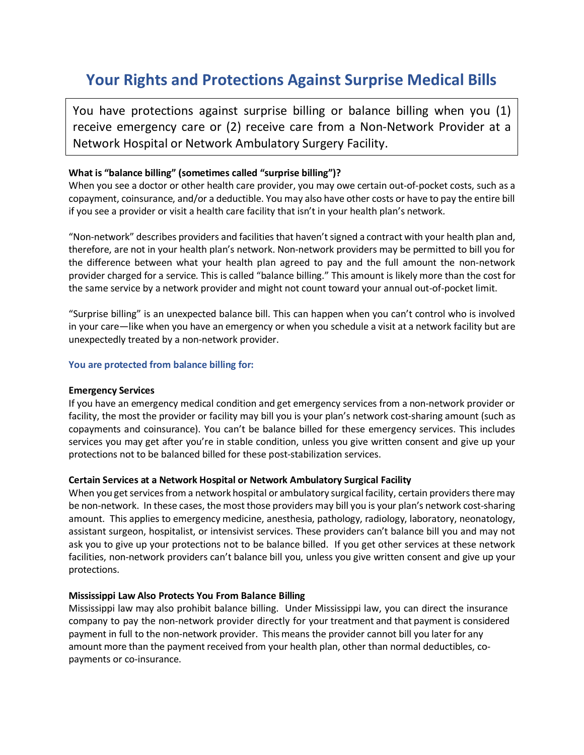# **Your Rights and Protections Against Surprise Medical Bills**

You have protections against surprise billing or balance billing when you (1) receive emergency care or (2) receive care from a Non-Network Provider at a Network Hospital or Network Ambulatory Surgery Facility.

## **What is "balance billing" (sometimes called "surprise billing")?**

When you see a doctor or other health care provider, you may owe certain out-of-pocket costs, such as a copayment, coinsurance, and/or a deductible. You may also have other costs or have to pay the entire bill if you see a provider or visit a health care facility that isn't in your health plan's network.

"Non-network" describes providers and facilities that haven't signed a contract with your health plan and, therefore, are not in your health plan's network. Non-network providers may be permitted to bill you for the difference between what your health plan agreed to pay and the full amount the non-network provider charged for a service. This is called "balance billing." This amount is likely more than the cost for the same service by a network provider and might not count toward your annual out-of-pocket limit.

"Surprise billing" is an unexpected balance bill. This can happen when you can't control who is involved in your care—like when you have an emergency or when you schedule a visit at a network facility but are unexpectedly treated by a non-network provider.

### **You are protected from balance billing for:**

### **Emergency Services**

If you have an emergency medical condition and get emergency services from a non-network provider or facility, the most the provider or facility may bill you is your plan's network cost-sharing amount (such as copayments and coinsurance). You can't be balance billed for these emergency services. This includes services you may get after you're in stable condition, unless you give written consent and give up your protections not to be balanced billed for these post-stabilization services.

### **Certain Services at a Network Hospital or Network Ambulatory Surgical Facility**

When you get services from a network hospital or ambulatory surgical facility, certain providers there may be non-network. In these cases, the most those providers may bill you is your plan's network cost-sharing amount. This applies to emergency medicine, anesthesia, pathology, radiology, laboratory, neonatology, assistant surgeon, hospitalist, or intensivist services. These providers can't balance bill you and may not ask you to give up your protections not to be balance billed. If you get other services at these network facilities, non-network providers can't balance bill you, unless you give written consent and give up your protections.

### **Mississippi Law Also Protects You From Balance Billing**

Mississippi law may also prohibit balance billing. Under Mississippi law, you can direct the insurance company to pay the non-network provider directly for your treatment and that payment is considered payment in full to the non-network provider. Thismeans the provider cannot bill you later for any amount more than the payment received from your health plan, other than normal deductibles, copayments or co-insurance.